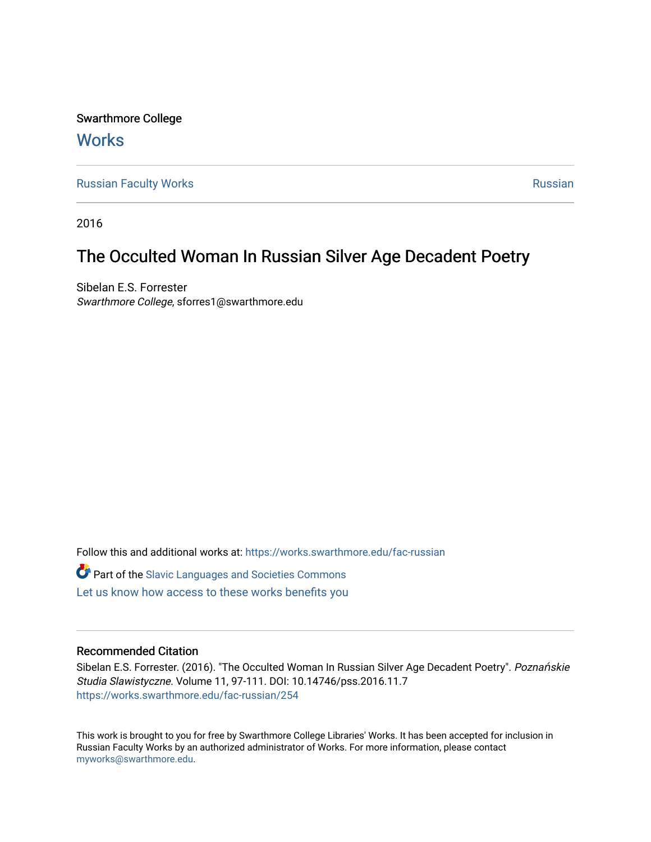Swarthmore College **Works** 

[Russian Faculty Works](https://works.swarthmore.edu/fac-russian) **Russian** [Russian](https://works.swarthmore.edu/russian) Russian Russian

2016

## The Occulted Woman In Russian Silver Age Decadent Poetry

Sibelan E.S. Forrester Swarthmore College, sforres1@swarthmore.edu

Follow this and additional works at: [https://works.swarthmore.edu/fac-russian](https://works.swarthmore.edu/fac-russian?utm_source=works.swarthmore.edu%2Ffac-russian%2F254&utm_medium=PDF&utm_campaign=PDFCoverPages)  **C** Part of the Slavic Languages and Societies Commons [Let us know how access to these works benefits you](https://forms.gle/4MB8mE2GywC5965J8) 

### Recommended Citation

Sibelan E.S. Forrester. (2016). "The Occulted Woman In Russian Silver Age Decadent Poetry". Poznańskie Studia Slawistyczne. Volume 11, 97-111. DOI: 10.14746/pss.2016.11.7 <https://works.swarthmore.edu/fac-russian/254>

This work is brought to you for free by Swarthmore College Libraries' Works. It has been accepted for inclusion in Russian Faculty Works by an authorized administrator of Works. For more information, please contact [myworks@swarthmore.edu.](mailto:myworks@swarthmore.edu)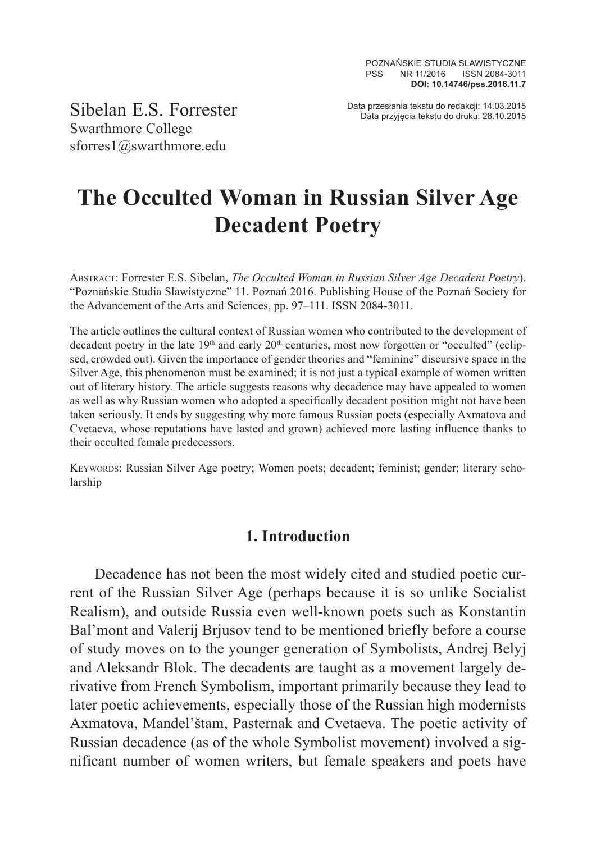Data przesłania tekstu do redakcji: 14.03.2015 Sibelan E.S. Forrester Data przyjęcia tekstu do druku: 28.10.2015

Swarthmore College sforres1@swarthmore.edu

# **The Occulted Woman in Russian Silver Age Decadent Poetry**

Abstract: Forrester E.S. Sibelan, *The Occulted Woman in Russian Silver Age Decadent Poetry*). "Poznańskie Studia Slawistyczne" 11. Poznań 2016. Publishing House of the Poznań Society for the Advancement of the Arts and Sciences, pp. 97–111. ISSN 2084-3011.

The article outlines the cultural context of Russian women who contributed to the development of decadent poetry in the late 19<sup>th</sup> and early 20<sup>th</sup> centuries, most now forgotten or "occulted" (eclipsed, crowded out). Given the importance of gender theories and "feminine" discursive space in the Silver Age, this phenomenon must be examined; it is not just a typical example of women written out of literary history. The article suggests reasons why decadence may have appealed to women as well as why Russian women who adopted a specifically decadent position might not have been taken seriously. It ends by suggesting why more famous Russian poets (especially Axmatova and Cvetaeva, whose reputations have lasted and grown) achieved more lasting influence thanks to their occulted female predecessors.

Keywords: Russian Silver Age poetry; Women poets; decadent; feminist; gender; literary scholarship

#### **1. Introduction**

Decadence has not been the most widely cited and studied poetic current of the Russian Silver Age (perhaps because it is so unlike Socialist Realism), and outside Russia even well-known poets such as Konstantin Bal'mont and Valerij Brjusov tend to be mentioned briefly before a course of study moves on to the younger generation of Symbolists, Andrej Belyj and Aleksandr Blok. The decadents are taught as a movement largely derivative from French Symbolism, important primarily because they lead to later poetic achievements, especially those of the Russian high modernists Axmatova, Mandel'štam, Pasternak and Cvetaeva. The poetic activity of Russian decadence (as of the whole Symbolist movement) involved a significant number of women writers, but female speakers and poets have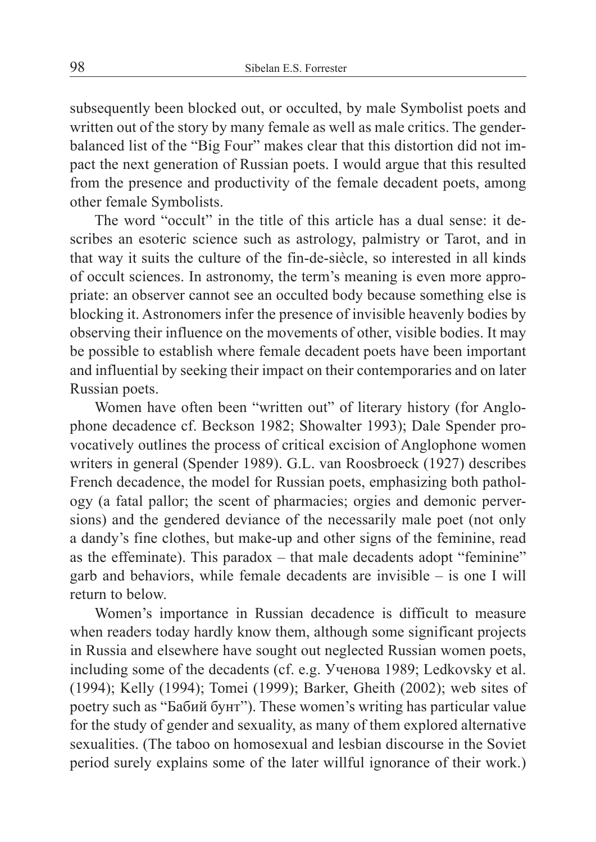subsequently been blocked out, or occulted, by male Symbolist poets and written out of the story by many female as well as male critics. The genderbalanced list of the "Big Four" makes clear that this distortion did not impact the next generation of Russian poets. I would argue that this resulted from the presence and productivity of the female decadent poets, among other female Symbolists.

The word "occult" in the title of this article has a dual sense: it describes an esoteric science such as astrology, palmistry or Tarot, and in that way it suits the culture of the fin-de-siècle, so interested in all kinds of occult sciences. In astronomy, the term's meaning is even more appropriate: an observer cannot see an occulted body because something else is blocking it. Astronomers infer the presence of invisible heavenly bodies by observing their influence on the movements of other, visible bodies. It may be possible to establish where female decadent poets have been important and influential by seeking their impact on their contemporaries and on later Russian poets.

Women have often been "written out" of literary history (for Anglophone decadence cf. Beckson 1982; Showalter 1993); Dale Spender provocatively outlines the process of critical excision of Anglophone women writers in general (Spender 1989). G.L. van Roosbroeck (1927) describes French decadence, the model for Russian poets, emphasizing both pathology (a fatal pallor; the scent of pharmacies; orgies and demonic perversions) and the gendered deviance of the necessarily male poet (not only a dandy's fine clothes, but make-up and other signs of the feminine, read as the effeminate). This paradox – that male decadents adopt "feminine" garb and behaviors, while female decadents are invisible – is one I will return to below.

Women's importance in Russian decadence is difficult to measure when readers today hardly know them, although some significant projects in Russia and elsewhere have sought out neglected Russian women poets, including some of the decadents (cf. e.g. Ученова 1989; Ledkovsky et al. (1994); Kelly (1994); Tomei (1999); Barker, Gheith (2002); web sites of poetry such as "Бабий бунт"). These women's writing has particular value for the study of gender and sexuality, as many of them explored alternative sexualities. (The taboo on homosexual and lesbian discourse in the Soviet period surely explains some of the later willful ignorance of their work.)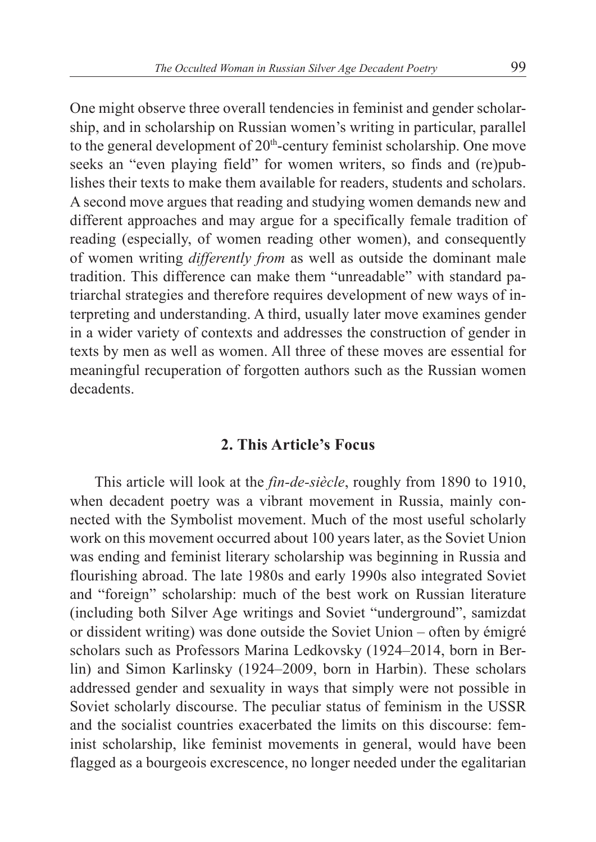One might observe three overall tendencies in feminist and gender scholarship, and in scholarship on Russian women's writing in particular, parallel to the general development of  $20<sup>th</sup>$ -century feminist scholarship. One move seeks an "even playing field" for women writers, so finds and (re)publishes their texts to make them available for readers, students and scholars. A second move argues that reading and studying women demands new and different approaches and may argue for a specifically female tradition of reading (especially, of women reading other women), and consequently of women writing *differently from* as well as outside the dominant male tradition. This difference can make them "unreadable" with standard patriarchal strategies and therefore requires development of new ways of interpreting and understanding. A third, usually later move examines gender in a wider variety of contexts and addresses the construction of gender in texts by men as well as women. All three of these moves are essential for meaningful recuperation of forgotten authors such as the Russian women decadents.

#### **2. This Article's Focus**

This article will look at the *fin-de-siècle*, roughly from 1890 to 1910, when decadent poetry was a vibrant movement in Russia, mainly connected with the Symbolist movement. Much of the most useful scholarly work on this movement occurred about 100 years later, as the Soviet Union was ending and feminist literary scholarship was beginning in Russia and flourishing abroad. The late 1980s and early 1990s also integrated Soviet and "foreign" scholarship: much of the best work on Russian literature (including both Silver Age writings and Soviet "underground", samizdat or dissident writing) was done outside the Soviet Union – often by émigré scholars such as Professors Marina Ledkovsky (1924–2014, born in Berlin) and Simon Karlinsky (1924–2009, born in Harbin). These scholars addressed gender and sexuality in ways that simply were not possible in Soviet scholarly discourse. The peculiar status of feminism in the USSR and the socialist countries exacerbated the limits on this discourse: feminist scholarship, like feminist movements in general, would have been flagged as a bourgeois excrescence, no longer needed under the egalitarian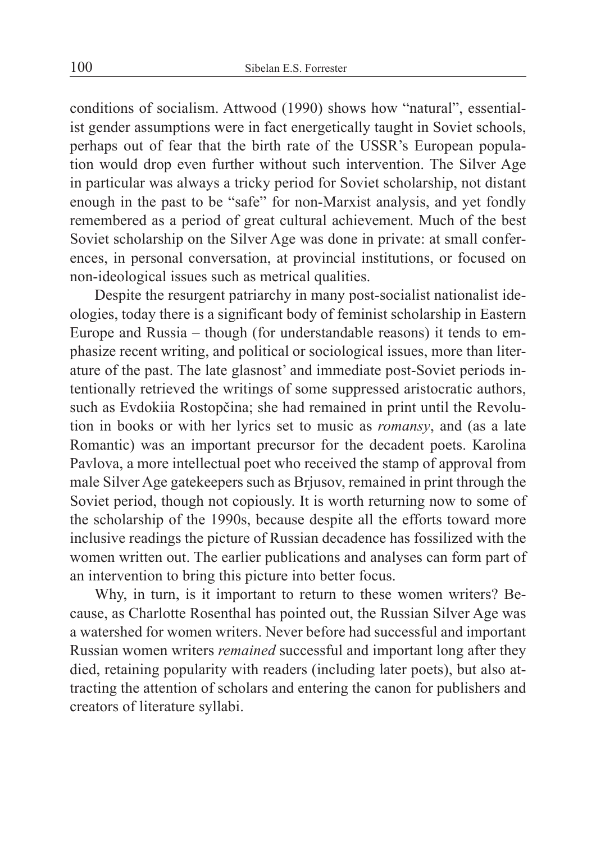conditions of socialism. Attwood (1990) shows how "natural", essentialist gender assumptions were in fact energetically taught in Soviet schools, perhaps out of fear that the birth rate of the USSR's European population would drop even further without such intervention. The Silver Age in particular was always a tricky period for Soviet scholarship, not distant enough in the past to be "safe" for non-Marxist analysis, and yet fondly remembered as a period of great cultural achievement. Much of the best Soviet scholarship on the Silver Age was done in private: at small conferences, in personal conversation, at provincial institutions, or focused on non-ideological issues such as metrical qualities.

Despite the resurgent patriarchy in many post-socialist nationalist ideologies, today there is a significant body of feminist scholarship in Eastern Europe and Russia – though (for understandable reasons) it tends to emphasize recent writing, and political or sociological issues, more than literature of the past. The late glasnost' and immediate post-Soviet periods intentionally retrieved the writings of some suppressed aristocratic authors, such as Evdokiia Rostopčina; she had remained in print until the Revolution in books or with her lyrics set to music as *romansy*, and (as a late Romantic) was an important precursor for the decadent poets. Karolina Pavlova, a more intellectual poet who received the stamp of approval from male Silver Age gatekeepers such as Brjusov, remained in print through the Soviet period, though not copiously. It is worth returning now to some of the scholarship of the 1990s, because despite all the efforts toward more inclusive readings the picture of Russian decadence has fossilized with the women written out. The earlier publications and analyses can form part of an intervention to bring this picture into better focus.

Why, in turn, is it important to return to these women writers? Because, as Charlotte Rosenthal has pointed out, the Russian Silver Age was a watershed for women writers. Never before had successful and important Russian women writers *remained* successful and important long after they died, retaining popularity with readers (including later poets), but also attracting the attention of scholars and entering the canon for publishers and creators of literature syllabi.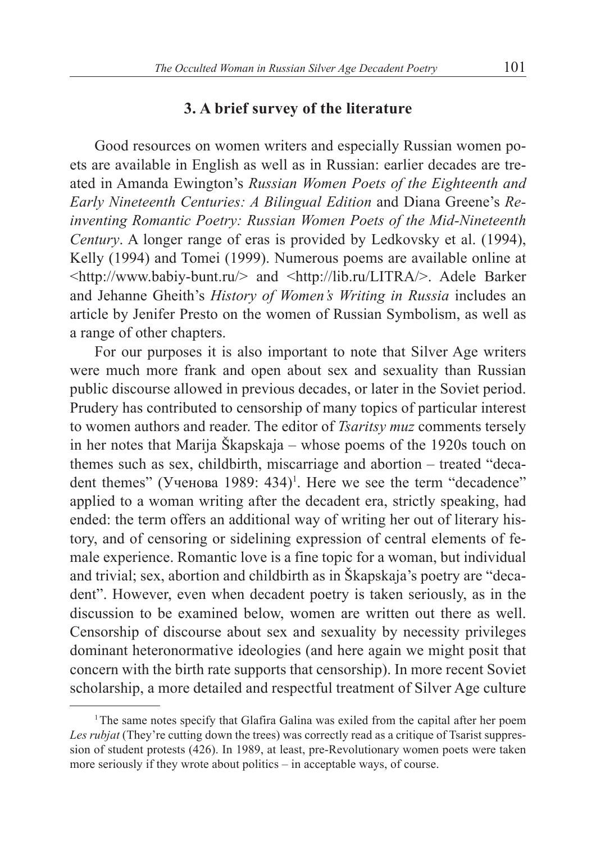#### **3. A brief survey of the literature**

Good resources on women writers and especially Russian women poets are available in English as well as in Russian: earlier decades are treated in Amanda Ewington's *Russian Women Poets of the Eighteenth and Early Nineteenth Centuries: A Bilingual Edition* and Diana Greene's *Reinventing Romantic Poetry: Russian Women Poets of the Mid-Nineteenth Century*. A longer range of eras is provided by Ledkovsky et al. (1994), Kelly (1994) and Tomei (1999). Numerous poems are available online at <http://www.babiy-bunt.ru/> and <http://lib.ru/LITRA/>. Adele Barker and Jehanne Gheith's *History of Women's Writing in Russia* includes an article by Jenifer Presto on the women of Russian Symbolism, as well as a range of other chapters.

For our purposes it is also important to note that Silver Age writers were much more frank and open about sex and sexuality than Russian public discourse allowed in previous decades, or later in the Soviet period. Prudery has contributed to censorship of many topics of particular interest to women authors and reader. The editor of *Tsaritsy muz* comments tersely in her notes that Marija Škapskaja – whose poems of the 1920s touch on themes such as sex, childbirth, miscarriage and abortion – treated "decadent themes" (Ученова 1989: 434)<sup>1</sup>. Here we see the term "decadence" applied to a woman writing after the decadent era, strictly speaking, had ended: the term offers an additional way of writing her out of literary history, and of censoring or sidelining expression of central elements of female experience. Romantic love is a fine topic for a woman, but individual and trivial; sex, abortion and childbirth as in Škapskaja's poetry are "decadent". However, even when decadent poetry is taken seriously, as in the discussion to be examined below, women are written out there as well. Censorship of discourse about sex and sexuality by necessity privileges dominant heteronormative ideologies (and here again we might posit that concern with the birth rate supports that censorship). In more recent Soviet scholarship, a more detailed and respectful treatment of Silver Age culture

<sup>1</sup>The same notes specify that Glafira Galina was exiled from the capital after her poem Les *rubjat* (They're cutting down the trees) was correctly read as a critique of Tsarist suppression of student protests (426). In 1989, at least, pre-Revolutionary women poets were taken more seriously if they wrote about politics – in acceptable ways, of course.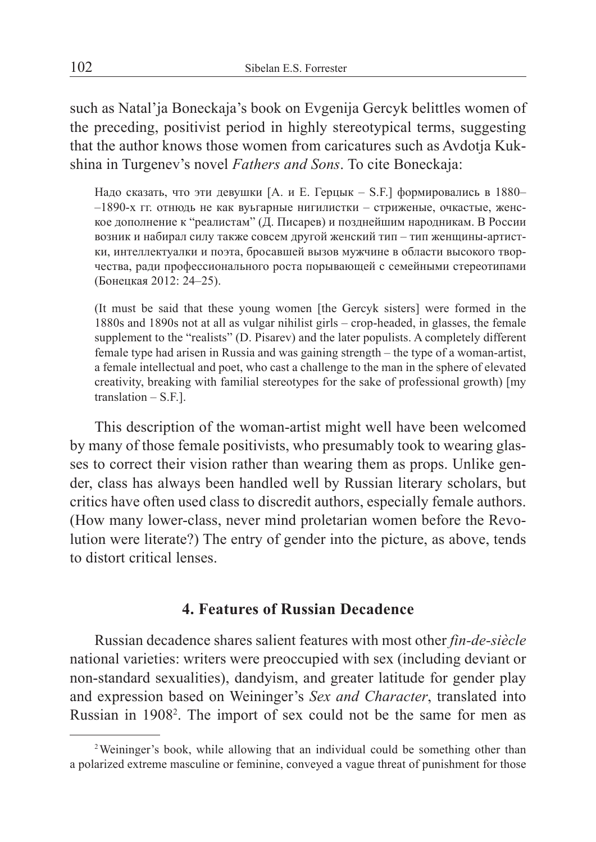such as Natal'ja Boneckaja's book on Evgenija Gercyk belittles women of the preceding, positivist period in highly stereotypical terms, suggesting that the author knows those women from caricatures such as Avdotja Kukshina in Turgenev's novel *Fathers and Sons*. To cite Boneckaja:

Надо сказать, что эти девушки [А. и Е. Герцык – S.F.] формировались в 1880– –1890-х гг. отнюдь не как вуьгарные нигилистки – стриженые, очкастые, женское дополнение к "реалистам" (Д. Писарев) и позднейшим народникам. В России возник и набирал силу также совсем другой женский тип – тип женщины-артистки, интеллектуалки и поэта, бросавшей вызов мужчине в области высокого творчества, ради профессионального роста порывающей с семейными стереотипами (Бонецкая 2012: 24–25).

(It must be said that these young women [the Gercyk sisters] were formed in the 1880s and 1890s not at all as vulgar nihilist girls – crop-headed, in glasses, the female supplement to the "realists" (D. Pisarev) and the later populists. A completely different female type had arisen in Russia and was gaining strength – the type of a woman-artist, a female intellectual and poet, who cast a challenge to the man in the sphere of elevated creativity, breaking with familial stereotypes for the sake of professional growth) [my translation – S.F.].

This description of the woman-artist might well have been welcomed by many of those female positivists, who presumably took to wearing glasses to correct their vision rather than wearing them as props. Unlike gender, class has always been handled well by Russian literary scholars, but critics have often used class to discredit authors, especially female authors. (How many lower-class, never mind proletarian women before the Revolution were literate?) The entry of gender into the picture, as above, tends to distort critical lenses.

#### **4. Features of Russian Decadence**

Russian decadence shares salient features with most other *fin-de-siècle* national varieties: writers were preoccupied with sex (including deviant or non-standard sexualities), dandyism, and greater latitude for gender play and expression based on Weininger's *Sex and Character*, translated into Russian in 1908<sup>2</sup>. The import of sex could not be the same for men as

<sup>&</sup>lt;sup>2</sup>Weininger's book, while allowing that an individual could be something other than a polarized extreme masculine or feminine, conveyed a vague threat of punishment for those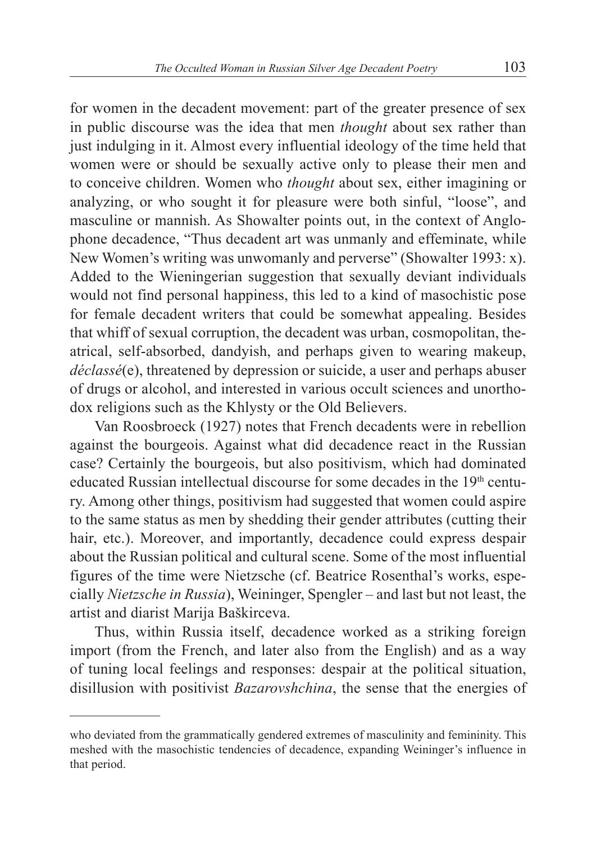for women in the decadent movement: part of the greater presence of sex in public discourse was the idea that men *thought* about sex rather than just indulging in it. Almost every influential ideology of the time held that women were or should be sexually active only to please their men and to conceive children. Women who *thought* about sex, either imagining or analyzing, or who sought it for pleasure were both sinful, "loose", and masculine or mannish. As Showalter points out, in the context of Anglophone decadence, "Thus decadent art was unmanly and effeminate, while New Women's writing was unwomanly and perverse" (Showalter 1993: x). Added to the Wieningerian suggestion that sexually deviant individuals would not find personal happiness, this led to a kind of masochistic pose for female decadent writers that could be somewhat appealing. Besides that whiff of sexual corruption, the decadent was urban, cosmopolitan, theatrical, self-absorbed, dandyish, and perhaps given to wearing makeup, *déclassé*(e), threatened by depression or suicide, a user and perhaps abuser of drugs or alcohol, and interested in various occult sciences and unorthodox religions such as the Khlysty or the Old Believers.

Van Roosbroeck (1927) notes that French decadents were in rebellion against the bourgeois. Against what did decadence react in the Russian case? Certainly the bourgeois, but also positivism, which had dominated educated Russian intellectual discourse for some decades in the 19<sup>th</sup> century. Among other things, positivism had suggested that women could aspire to the same status as men by shedding their gender attributes (cutting their hair, etc.). Moreover, and importantly, decadence could express despair about the Russian political and cultural scene. Some of the most influential figures of the time were Nietzsche (cf. Beatrice Rosenthal's works, especially *Nietzsche in Russia*), Weininger, Spengler – and last but not least, the artist and diarist Marija Baškirceva.

Thus, within Russia itself, decadence worked as a striking foreign import (from the French, and later also from the English) and as a way of tuning local feelings and responses: despair at the political situation, disillusion with positivist *Bazarovshchina*, the sense that the energies of

who deviated from the grammatically gendered extremes of masculinity and femininity. This meshed with the masochistic tendencies of decadence, expanding Weininger's influence in that period.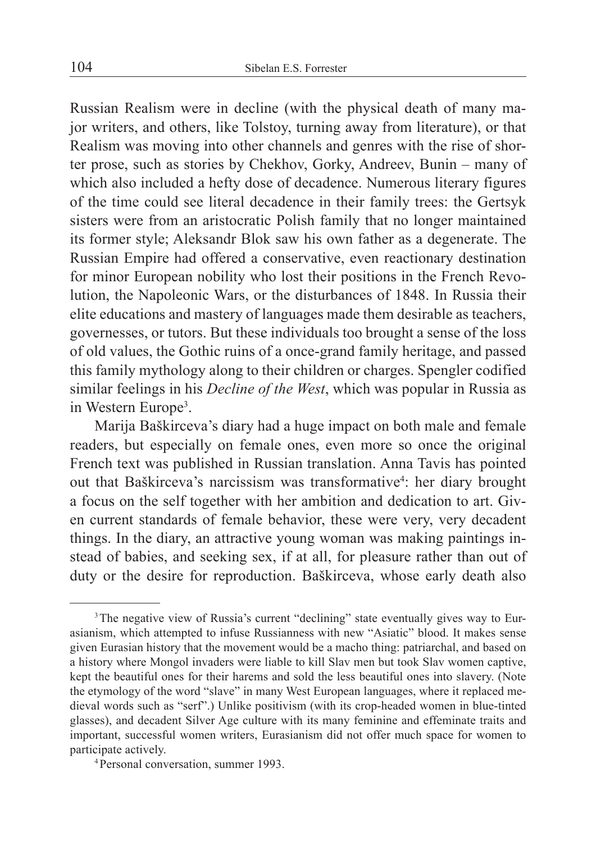Russian Realism were in decline (with the physical death of many major writers, and others, like Tolstoy, turning away from literature), or that Realism was moving into other channels and genres with the rise of shorter prose, such as stories by Chekhov, Gorky, Andreev, Bunin – many of which also included a hefty dose of decadence. Numerous literary figures of the time could see literal decadence in their family trees: the Gertsyk sisters were from an aristocratic Polish family that no longer maintained its former style; Aleksandr Blok saw his own father as a degenerate. The Russian Empire had offered a conservative, even reactionary destination for minor European nobility who lost their positions in the French Revolution, the Napoleonic Wars, or the disturbances of 1848. In Russia their elite educations and mastery of languages made them desirable as teachers, governesses, or tutors. But these individuals too brought a sense of the loss of old values, the Gothic ruins of a once-grand family heritage, and passed this family mythology along to their children or charges. Spengler codified similar feelings in his *Decline of the West*, which was popular in Russia as in Western Europe<sup>3</sup>.

Marija Baškirceva's diary had a huge impact on both male and female readers, but especially on female ones, even more so once the original French text was published in Russian translation. Anna Tavis has pointed out that Baškirceva's narcissism was transformative<sup>4</sup>: her diary brought a focus on the self together with her ambition and dedication to art. Given current standards of female behavior, these were very, very decadent things. In the diary, an attractive young woman was making paintings instead of babies, and seeking sex, if at all, for pleasure rather than out of duty or the desire for reproduction. Baškirceva, whose early death also

<sup>&</sup>lt;sup>3</sup>The negative view of Russia's current "declining" state eventually gives way to Eurasianism, which attempted to infuse Russianness with new "Asiatic" blood. It makes sense given Eurasian history that the movement would be a macho thing: patriarchal, and based on a history where Mongol invaders were liable to kill Slav men but took Slav women captive, kept the beautiful ones for their harems and sold the less beautiful ones into slavery. (Note the etymology of the word "slave" in many West European languages, where it replaced medieval words such as "serf".) Unlike positivism (with its crop-headed women in blue-tinted glasses), and decadent Silver Age culture with its many feminine and effeminate traits and important, successful women writers, Eurasianism did not offer much space for women to participate actively.

<sup>4</sup>Personal conversation, summer 1993.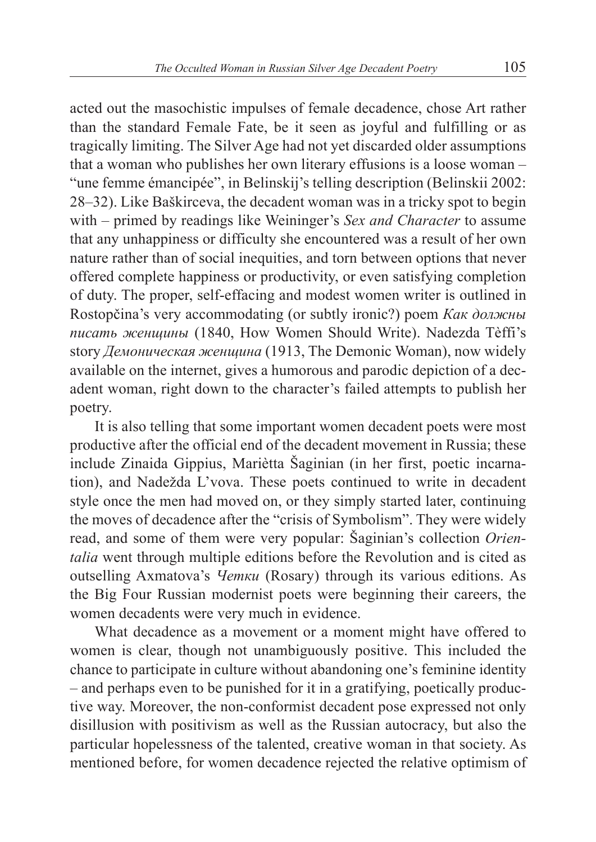acted out the masochistic impulses of female decadence, chose Art rather than the standard Female Fate, be it seen as joyful and fulfilling or as tragically limiting. The Silver Age had not yet discarded older assumptions that a woman who publishes her own literary effusions is a loose woman – "une femme émancipée", in Belinskij's telling description (Belinskii 2002: 28–32). Like Baškirceva, the decadent woman was in a tricky spot to begin with – primed by readings like Weininger's *Sex and Character* to assume that any unhappiness or difficulty she encountered was a result of her own nature rather than of social inequities, and torn between options that never offered complete happiness or productivity, or even satisfying completion of duty. The proper, self-effacing and modest women writer is outlined in Rostopčina's very accommodating (or subtly ironic?) poem *Как должны писать женщины* (1840, How Women Should Write). Nadezda Tèffi's story *Демоническая женщина* (1913, The Demonic Woman), now widely available on the internet, gives a humorous and parodic depiction of a decadent woman, right down to the character's failed attempts to publish her poetry.

It is also telling that some important women decadent poets were most productive after the official end of the decadent movement in Russia; these include Zinaida Gippius, Mariètta Šaginian (in her first, poetic incarnation), and Nadežda L'vova. These poets continued to write in decadent style once the men had moved on, or they simply started later, continuing the moves of decadence after the "crisis of Symbolism". They were widely read, and some of them were very popular: Šaginian's collection *Orientalia* went through multiple editions before the Revolution and is cited as outselling Axmatova's *Четки* (Rosary) through its various editions. As the Big Four Russian modernist poets were beginning their careers, the women decadents were very much in evidence.

What decadence as a movement or a moment might have offered to women is clear, though not unambiguously positive. This included the chance to participate in culture without abandoning one's feminine identity – and perhaps even to be punished for it in a gratifying, poetically productive way. Moreover, the non-conformist decadent pose expressed not only disillusion with positivism as well as the Russian autocracy, but also the particular hopelessness of the talented, creative woman in that society. As mentioned before, for women decadence rejected the relative optimism of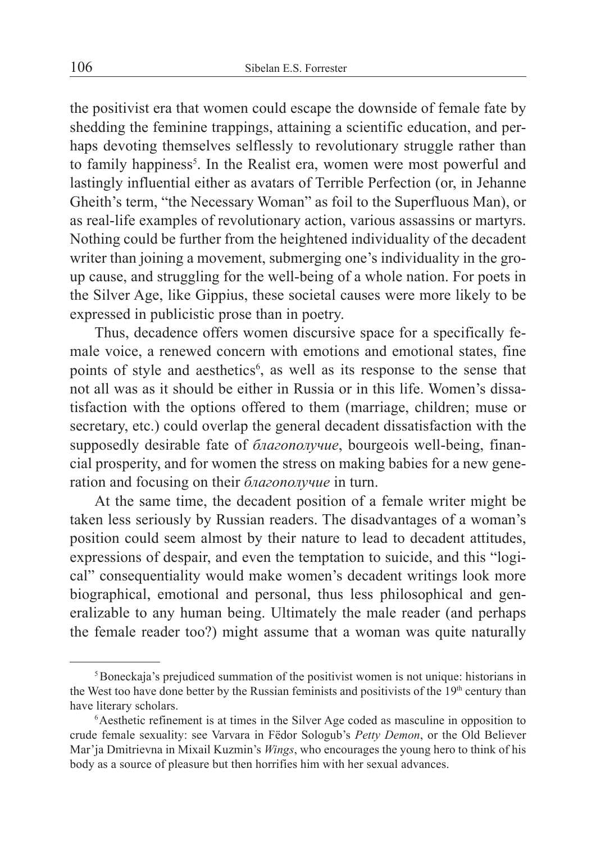the positivist era that women could escape the downside of female fate by shedding the feminine trappings, attaining a scientific education, and perhaps devoting themselves selflessly to revolutionary struggle rather than to family happiness<sup>5</sup>. In the Realist era, women were most powerful and lastingly influential either as avatars of Terrible Perfection (or, in Jehanne Gheith's term, "the Necessary Woman" as foil to the Superfluous Man), or as real-life examples of revolutionary action, various assassins or martyrs. Nothing could be further from the heightened individuality of the decadent writer than joining a movement, submerging one's individuality in the group cause, and struggling for the well-being of a whole nation. For poets in the Silver Age, like Gippius, these societal causes were more likely to be expressed in publicistic prose than in poetry.

Thus, decadence offers women discursive space for a specifically female voice, a renewed concern with emotions and emotional states, fine points of style and aesthetics<sup>6</sup>, as well as its response to the sense that not all was as it should be either in Russia or in this life. Women's dissatisfaction with the options offered to them (marriage, children; muse or secretary, etc.) could overlap the general decadent dissatisfaction with the supposedly desirable fate of *благополучие*, bourgeois well-being, financial prosperity, and for women the stress on making babies for a new generation and focusing on their *благополучие* in turn.

At the same time, the decadent position of a female writer might be taken less seriously by Russian readers. The disadvantages of a woman's position could seem almost by their nature to lead to decadent attitudes, expressions of despair, and even the temptation to suicide, and this "logical" consequentiality would make women's decadent writings look more biographical, emotional and personal, thus less philosophical and generalizable to any human being. Ultimately the male reader (and perhaps the female reader too?) might assume that a woman was quite naturally

<sup>&</sup>lt;sup>5</sup>Boneckaja's prejudiced summation of the positivist women is not unique: historians in the West too have done better by the Russian feminists and positivists of the 19<sup>th</sup> century than have literary scholars.

<sup>6</sup>Aesthetic refinement is at times in the Silver Age coded as masculine in opposition to crude female sexuality: see Varvara in Fëdor Sologub's *Petty Demon*, or the Old Believer Mar'ja Dmitrievna in Mixail Kuzmin's *Wings*, who encourages the young hero to think of his body as a source of pleasure but then horrifies him with her sexual advances.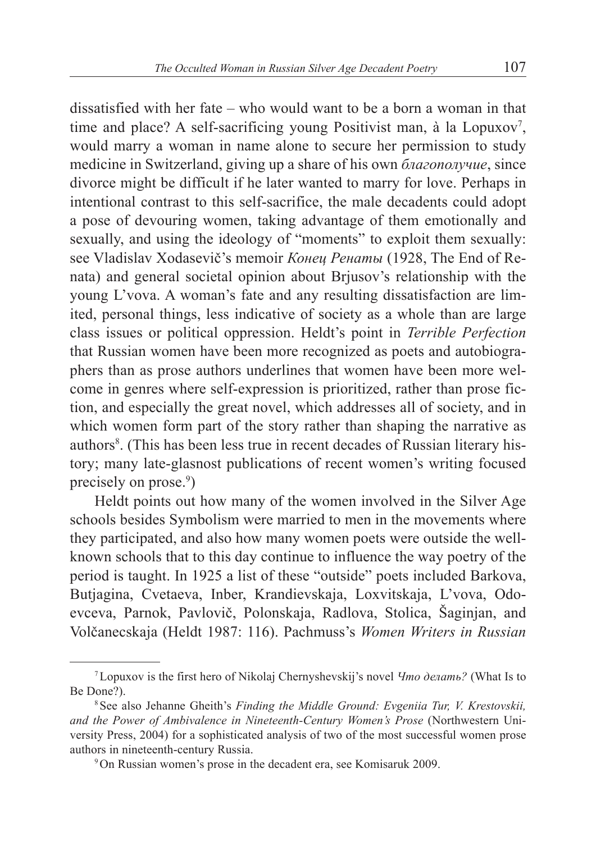dissatisfied with her fate – who would want to be a born a woman in that time and place? A self-sacrificing young Positivist man, à la Lopuxov<sup>7</sup>, would marry a woman in name alone to secure her permission to study medicine in Switzerland, giving up a share of his own *благополучие*, since divorce might be difficult if he later wanted to marry for love. Perhaps in intentional contrast to this self-sacrifice, the male decadents could adopt a pose of devouring women, taking advantage of them emotionally and sexually, and using the ideology of "moments" to exploit them sexually: see Vladislav Xodasevič's memoir *Конец Ренаты* (1928, The End of Renata) and general societal opinion about Brjusov's relationship with the young L'vova. A woman's fate and any resulting dissatisfaction are limited, personal things, less indicative of society as a whole than are large class issues or political oppression. Heldt's point in *Terrible Perfection* that Russian women have been more recognized as poets and autobiographers than as prose authors underlines that women have been more welcome in genres where self-expression is prioritized, rather than prose fiction, and especially the great novel, which addresses all of society, and in which women form part of the story rather than shaping the narrative as authors<sup>8</sup>. (This has been less true in recent decades of Russian literary history; many late-glasnost publications of recent women's writing focused precisely on prose.<sup>9</sup>)

Heldt points out how many of the women involved in the Silver Age schools besides Symbolism were married to men in the movements where they participated, and also how many women poets were outside the wellknown schools that to this day continue to influence the way poetry of the period is taught. In 1925 a list of these "outside" poets included Barkova, Butjagina, Cvetaeva, Inber, Krandievskaja, Loxvitskaja, L'vova, Odoevceva, Parnok, Pavlovič, Polonskaja, Radlova, Stolica, Šaginjan, and Volčanecskaja (Heldt 1987: 116). Pachmuss's *Women Writers in Russian* 

<sup>7</sup>Lopuxov is the first hero of Nikolaj Chernyshevskij's novel *Что делать?* (What Is to Be Done?).

<sup>8</sup>See also Jehanne Gheith's *Finding the Middle Ground: Evgeniia Tur, V. Krestovskii, and the Power of Ambivalence in Nineteenth-Century Women's Prose* (Northwestern University Press, 2004) for a sophisticated analysis of two of the most successful women prose authors in nineteenth-century Russia.

<sup>9</sup>On Russian women's prose in the decadent era, see Komisaruk 2009.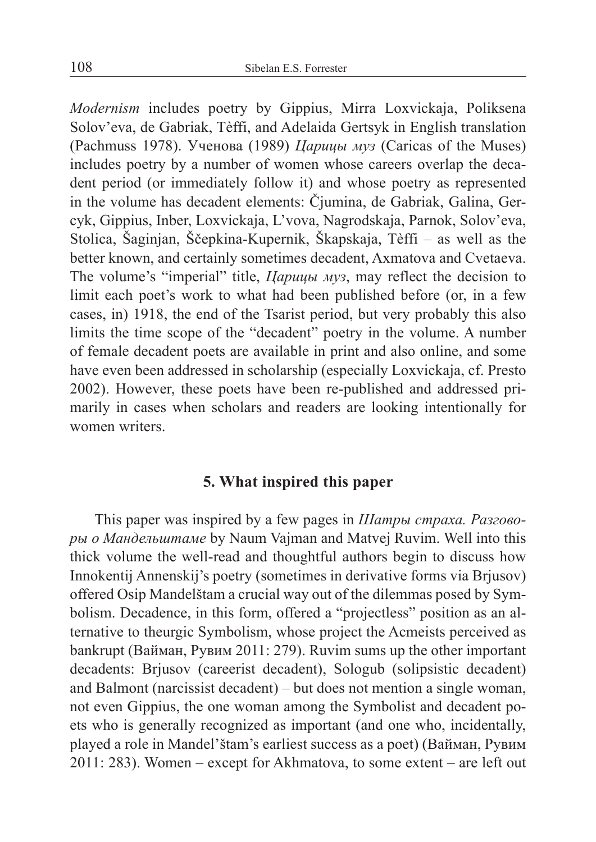*Modernism* includes poetry by Gippius, Mirra Loxvickaja, Poliksena Solov'eva, de Gabriak, Tèffi, and Adelaida Gertsyk in English translation (Pachmuss 1978). Ученова (1989) *Царицы муз* (Caricas of the Muses) includes poetry by a number of women whose careers overlap the decadent period (or immediately follow it) and whose poetry as represented in the volume has decadent elements: Čjumina, de Gabriak, Galina, Gercyk, Gippius, Inber, Loxvickaja, L'vova, Nagrodskaja, Parnok, Solov'eva, Stolica, Šaginjan, Ščepkina-Kupernik, Škapskaja, Tèffi – as well as the better known, and certainly sometimes decadent, Axmatova and Cvetaeva. The volume's "imperial" title, *Царицы муз*, may reflect the decision to limit each poet's work to what had been published before (or, in a few cases, in) 1918, the end of the Tsarist period, but very probably this also limits the time scope of the "decadent" poetry in the volume. A number of female decadent poets are available in print and also online, and some have even been addressed in scholarship (especially Loxvickaja, cf. Presto 2002). However, these poets have been re-published and addressed primarily in cases when scholars and readers are looking intentionally for women writers.

#### **5. What inspired this paper**

This paper was inspired by a few pages in *Шатры страха. Разговоры о Мандельштаме* by Naum Vajman and Matvej Ruvim. Well into this thick volume the well-read and thoughtful authors begin to discuss how Innokentij Annenskij's poetry (sometimes in derivative forms via Brjusov) offered Osip Mandelštam a crucial way out of the dilemmas posed by Symbolism. Decadence, in this form, offered a "projectless" position as an alternative to theurgic Symbolism, whose project the Acmeists perceived as bankrupt (Вайман, Рувим 2011: 279). Ruvim sums up the other important decadents: Brjusov (careerist decadent), Sologub (solipsistic decadent) and Balmont (narcissist decadent) – but does not mention a single woman, not even Gippius, the one woman among the Symbolist and decadent poets who is generally recognized as important (and one who, incidentally, played a role in Mandel'štam's earliest success as a poet) (Вайман, Рувим 2011: 283). Women – except for Akhmatova, to some extent – are left out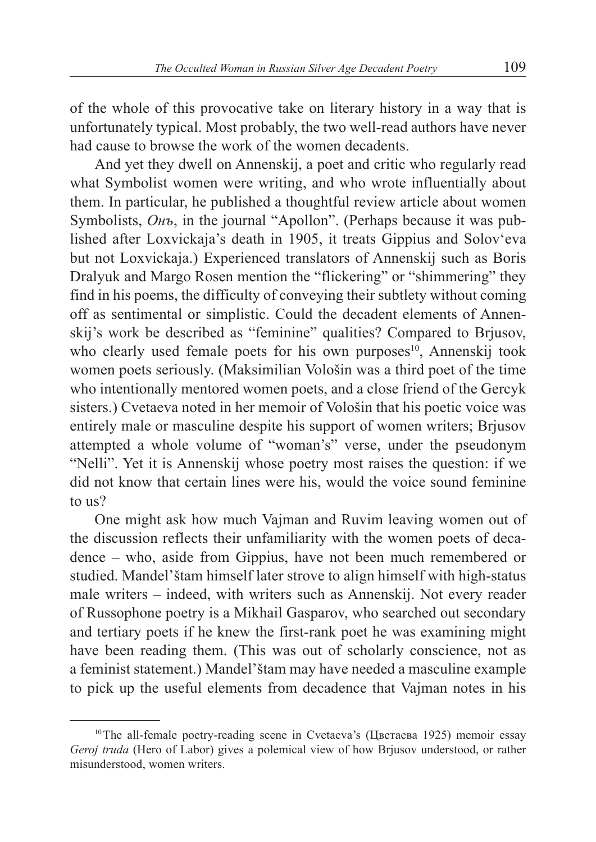of the whole of this provocative take on literary history in a way that is unfortunately typical. Most probably, the two well-read authors have never had cause to browse the work of the women decadents.

And yet they dwell on Annenskij, a poet and critic who regularly read what Symbolist women were writing, and who wrote influentially about them. In particular, he published a thoughtful review article about women Symbolists, *Онъ*, in the journal "Apollon". (Perhaps because it was published after Loxvickaja's death in 1905, it treats Gippius and Solov'eva but not Loxvickaja.) Experienced translators of Annenskij such as Boris Dralyuk and Margo Rosen mention the "flickering" or "shimmering" they find in his poems, the difficulty of conveying their subtlety without coming off as sentimental or simplistic. Could the decadent elements of Annenskij's work be described as "feminine" qualities? Compared to Brjusov, who clearly used female poets for his own purposes<sup>10</sup>, Annenskij took women poets seriously. (Maksimilian Vološin was a third poet of the time who intentionally mentored women poets, and a close friend of the Gercyk sisters.) Cvetaeva noted in her memoir of Vološin that his poetic voice was entirely male or masculine despite his support of women writers; Brjusov attempted a whole volume of "woman's" verse, under the pseudonym "Nelli". Yet it is Annenskij whose poetry most raises the question: if we did not know that certain lines were his, would the voice sound feminine to us?

One might ask how much Vajman and Ruvim leaving women out of the discussion reflects their unfamiliarity with the women poets of decadence – who, aside from Gippius, have not been much remembered or studied. Mandel'štam himself later strove to align himself with high-status male writers – indeed, with writers such as Annenskij. Not every reader of Russophone poetry is a Mikhail Gasparov, who searched out secondary and tertiary poets if he knew the first-rank poet he was examining might have been reading them. (This was out of scholarly conscience, not as a feminist statement.) Mandel'štam may have needed a masculine example to pick up the useful elements from decadence that Vajman notes in his

<sup>&</sup>lt;sup>10</sup>The all-female poetry-reading scene in Cvetaeva's (Цветаева 1925) memoir essay *Geroj truda* (Hero of Labor) gives a polemical view of how Brjusov understood, or rather misunderstood, women writers.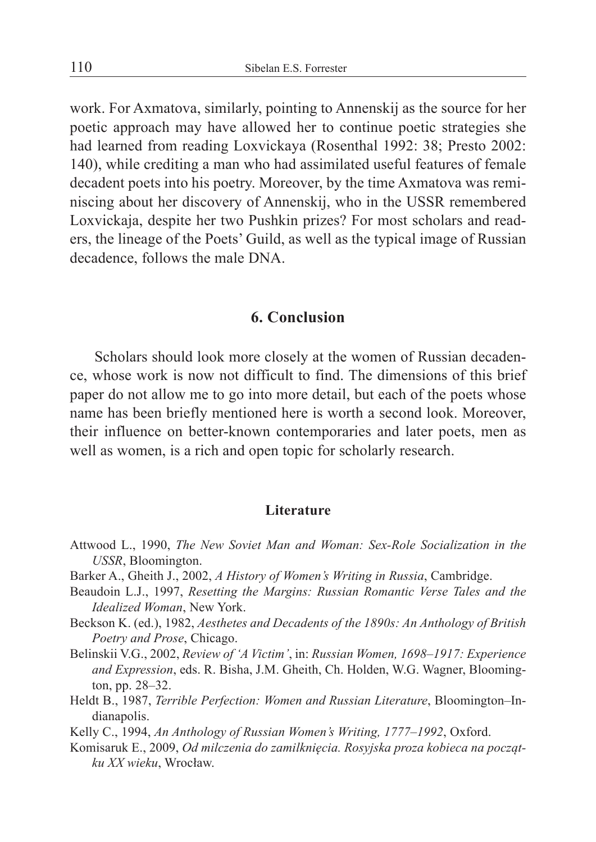work. For Axmatova, similarly, pointing to Annenskij as the source for her poetic approach may have allowed her to continue poetic strategies she had learned from reading Loxvickaya (Rosenthal 1992: 38; Presto 2002: 140), while crediting a man who had assimilated useful features of female decadent poets into his poetry. Moreover, by the time Axmatova was reminiscing about her discovery of Annenskij, who in the USSR remembered Loxvickaja, despite her two Pushkin prizes? For most scholars and readers, the lineage of the Poets' Guild, as well as the typical image of Russian decadence, follows the male DNA.

#### **6. Conclusion**

Scholars should look more closely at the women of Russian decadence, whose work is now not difficult to find. The dimensions of this brief paper do not allow me to go into more detail, but each of the poets whose name has been briefly mentioned here is worth a second look. Moreover, their influence on better-known contemporaries and later poets, men as well as women, is a rich and open topic for scholarly research.

#### **Literature**

- Attwood L., 1990, *The New Soviet Man and Woman: Sex-Role Socialization in the USSR*, Bloomington.
- Barker A., Gheith J., 2002, *A History of Women's Writing in Russia*, Cambridge.
- Beaudoin L.J., 1997, *Resetting the Margins: Russian Romantic Verse Tales and the Idealized Woman*, New York.
- Beckson K. (ed.), 1982, *Aesthetes and Decadents of the 1890s: An Anthology of British Poetry and Prose*, Chicago.
- Belinskii V.G., 2002, *Review of 'A Victim'*, in: *Russian Women, 1698–1917: Experience and Expression*, eds. R. Bisha, J.M. Gheith, Ch. Holden, W.G. Wagner, Bloomington, pp. 28–32.
- Heldt B., 1987, *Terrible Perfection: Women and Russian Literature*, Bloomington–Indianapolis.

Kelly C., 1994, *An Anthology of Russian Women's Writing, 1777–1992*, Oxford.

Komisaruk E., 2009, *Od milczenia do zamilknięcia. Rosyjska proza kobieca na początku XX wieku*, Wrocław.